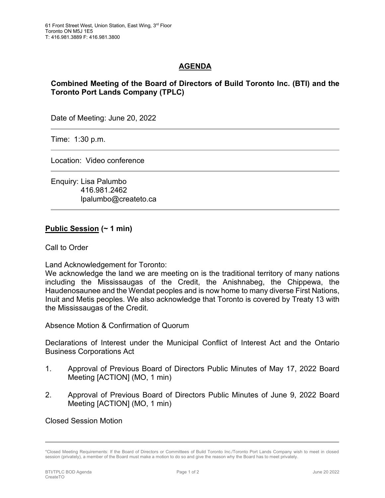## **AGENDA**

## **Combined Meeting of the Board of Directors of Build Toronto Inc. (BTI) and the Toronto Port Lands Company (TPLC)**

Date of Meeting: June 20, 2022

Time: 1:30 p.m.

Location: Video conference

Enquiry: Lisa Palumbo 416.981.2462 lpalumbo@createto.ca

## **Public Session (~ 1 min)**

Call to Order

Land Acknowledgement for Toronto:

We acknowledge the land we are meeting on is the traditional territory of many nations including the Mississaugas of the Credit, the Anishnabeg, the Chippewa, the Haudenosaunee and the Wendat peoples and is now home to many diverse First Nations, Inuit and Metis peoples. We also acknowledge that Toronto is covered by Treaty 13 with the Mississaugas of the Credit.

Absence Motion & Confirmation of Quorum

Declarations of Interest under the Municipal Conflict of Interest Act and the Ontario Business Corporations Act

- 1. Approval of Previous Board of Directors Public Minutes of May 17, 2022 Board Meeting [ACTION] (MO, 1 min)
- 2. Approval of Previous Board of Directors Public Minutes of June 9, 2022 Board Meeting [ACTION] (MO, 1 min)

Closed Session Motion

<sup>\*</sup>Closed Meeting Requirements: If the Board of Directors or Committees of Build Toronto Inc./Toronto Port Lands Company wish to meet in closed session (privately), a member of the Board must make a motion to do so and give the reason why the Board has to meet privately.